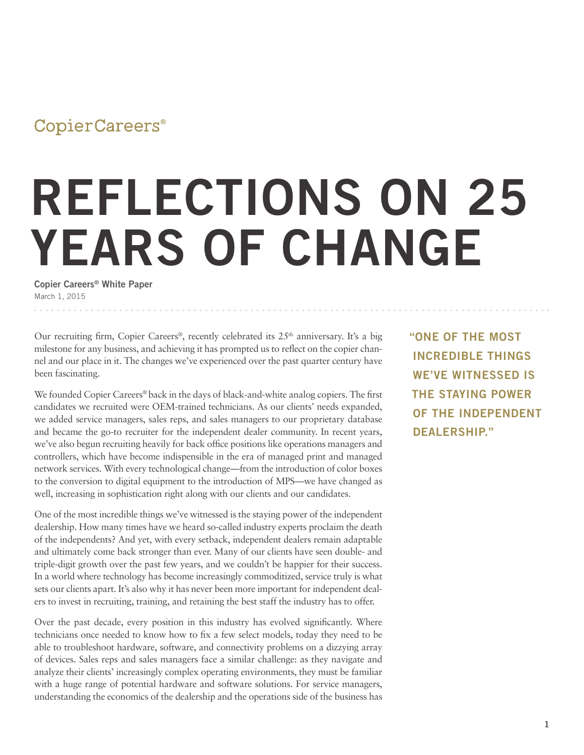## CopierCareers®

## **REFLECTIONS ON 25 YEARS OF CHANGE**

**Copier Careers® White Paper** March 1, 2015

Our recruiting firm, Copier Careers<sup>®</sup>, recently celebrated its  $25<sup>th</sup>$  anniversary. It's a big milestone for any business, and achieving it has prompted us to reflect on the copier channel and our place in it. The changes we've experienced over the past quarter century have been fascinating.

We founded Copier Careers® back in the days of black-and-white analog copiers. The first candidates we recruited were OEM-trained technicians. As our clients' needs expanded, we added service managers, sales reps, and sales managers to our proprietary database and became the go-to recruiter for the independent dealer community. In recent years, we've also begun recruiting heavily for back office positions like operations managers and controllers, which have become indispensible in the era of managed print and managed network services. With every technological change—from the introduction of color boxes to the conversion to digital equipment to the introduction of MPS—we have changed as well, increasing in sophistication right along with our clients and our candidates.

One of the most incredible things we've witnessed is the staying power of the independent dealership. How many times have we heard so-called industry experts proclaim the death of the independents? And yet, with every setback, independent dealers remain adaptable and ultimately come back stronger than ever. Many of our clients have seen double- and triple-digit growth over the past few years, and we couldn't be happier for their success. In a world where technology has become increasingly commoditized, service truly is what sets our clients apart. It's also why it has never been more important for independent dealers to invest in recruiting, training, and retaining the best staff the industry has to offer.

Over the past decade, every position in this industry has evolved significantly. Where technicians once needed to know how to fix a few select models, today they need to be able to troubleshoot hardware, software, and connectivity problems on a dizzying array of devices. Sales reps and sales managers face a similar challenge: as they navigate and analyze their clients' increasingly complex operating environments, they must be familiar with a huge range of potential hardware and software solutions. For service managers, understanding the economics of the dealership and the operations side of the business has

**"ONE OF THE MOST INCREDIBLE THINGS WE'VE WITNESSED IS THE STAYING POWER OF THE INDEPENDENT DEALERSHIP."**